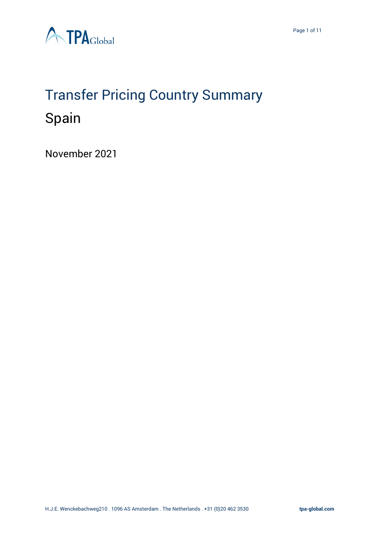

# Transfer Pricing Country Summary Spain

November 2021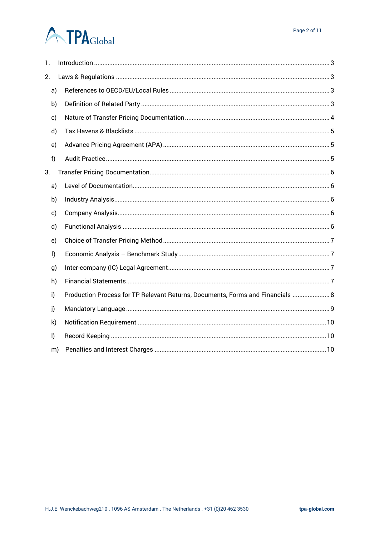# **A TPA**Global

| 1.      |    |                                                                                |  |
|---------|----|--------------------------------------------------------------------------------|--|
| 2.      |    |                                                                                |  |
| a)      |    |                                                                                |  |
| b)      |    |                                                                                |  |
| c)      |    |                                                                                |  |
| d)      |    |                                                                                |  |
| e)      |    |                                                                                |  |
| f)      |    |                                                                                |  |
| 3.      |    |                                                                                |  |
| a)      |    |                                                                                |  |
| b)      |    |                                                                                |  |
| c)      |    |                                                                                |  |
| d)      |    |                                                                                |  |
| e)      |    |                                                                                |  |
| f)      |    |                                                                                |  |
| g)      |    |                                                                                |  |
| h)      |    |                                                                                |  |
| i)      |    | Production Process for TP Relevant Returns, Documents, Forms and Financials  8 |  |
| j)      |    |                                                                                |  |
| k)      |    |                                                                                |  |
| $\vert$ |    |                                                                                |  |
|         | m) |                                                                                |  |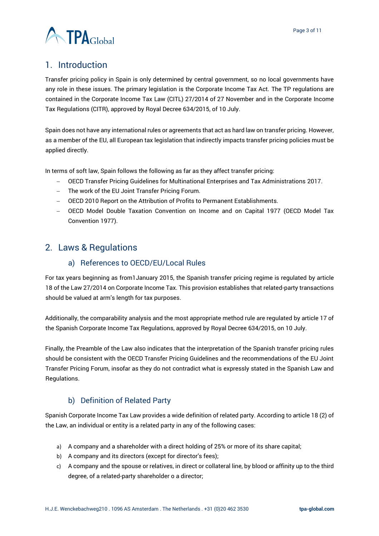

# <span id="page-2-0"></span>1. Introduction

Transfer pricing policy in Spain is only determined by central government, so no local governments have any role in these issues. The primary legislation is the Corporate Income Tax Act. The TP regulations are contained in the Corporate Income Tax Law (CITL) 27/2014 of 27 November and in the Corporate Income Tax Regulations (CITR), approved by Royal Decree 634/2015, of 10 July.

Spain does not have any international rules or agreements that act as hard law on transfer pricing. However, as a member of the EU, all European tax legislation that indirectly impacts transfer pricing policies must be applied directly.

In terms of soft law, Spain follows the following as far as they affect transfer pricing:

- − OECD Transfer Pricing Guidelines for Multinational Enterprises and Tax Administrations 2017.
- − The work of the EU Joint Transfer Pricing Forum.
- − OECD 2010 Report on the Attribution of Profits to Permanent Establishments.
- − OECD Model Double Taxation Convention on Income and on Capital 1977 (OECD Model Tax Convention 1977).

# <span id="page-2-2"></span><span id="page-2-1"></span>2. Laws & Regulations

#### a) References to OECD/EU/Local Rules

For tax years beginning as from1January 2015, the Spanish transfer pricing regime is regulated by article 18 of the Law 27/2014 on Corporate Income Tax. This provision establishes that related-party transactions should be valued at arm's length for tax purposes.

Additionally, the comparability analysis and the most appropriate method rule are regulated by article 17 of the Spanish Corporate Income Tax Regulations, approved by Royal Decree 634/2015, on 10 July.

Finally, the Preamble of the Law also indicates that the interpretation of the Spanish transfer pricing rules should be consistent with the OECD Transfer Pricing Guidelines and the recommendations of the EU Joint Transfer Pricing Forum, insofar as they do not contradict what is expressly stated in the Spanish Law and Regulations.

# b) Definition of Related Party

<span id="page-2-3"></span>Spanish Corporate Income Tax Law provides a wide definition of related party. According to article 18 (2) of the Law, an individual or entity is a related party in any of the following cases:

- a) A company and a shareholder with a direct holding of 25% or more of its share capital;
- b) A company and its directors (except for director's fees);
- c) A company and the spouse or relatives, in direct or collateral line, by blood or affinity up to the third degree, of a related-party shareholder o a director;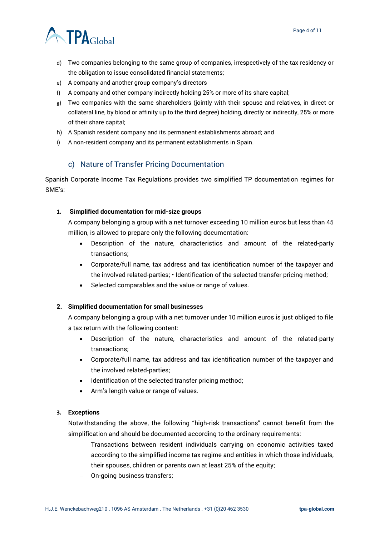

- d) Two companies belonging to the same group of companies, irrespectively of the tax residency or the obligation to issue consolidated financial statements;
- e) A company and another group company's directors
- f) A company and other company indirectly holding 25% or more of its share capital;
- g) Two companies with the same shareholders (jointly with their spouse and relatives, in direct or collateral line, by blood or affinity up to the third degree) holding, directly or indirectly, 25% or more of their share capital;
- h) A Spanish resident company and its permanent establishments abroad; and
- i) A non-resident company and its permanent establishments in Spain.

### c) Nature of Transfer Pricing Documentation

<span id="page-3-0"></span>Spanish Corporate Income Tax Regulations provides two simplified TP documentation regimes for SME's:

#### **1. Simplified documentation for mid-size groups**

A company belonging a group with a net turnover exceeding 10 million euros but less than 45 million, is allowed to prepare only the following documentation:

- Description of the nature, characteristics and amount of the related-party transactions;
- Corporate/full name, tax address and tax identification number of the taxpayer and the involved related-parties; • Identification of the selected transfer pricing method;
- Selected comparables and the value or range of values.

#### **2. Simplified documentation for small businesses**

A company belonging a group with a net turnover under 10 million euros is just obliged to file a tax return with the following content:

- Description of the nature, characteristics and amount of the related-party transactions;
- Corporate/full name, tax address and tax identification number of the taxpayer and the involved related-parties;
- Identification of the selected transfer pricing method;
- Arm's length value or range of values.

#### **3. Exceptions**

Notwithstanding the above, the following "high-risk transactions" cannot benefit from the simplification and should be documented according to the ordinary requirements:

- − Transactions between resident individuals carrying on economic activities taxed according to the simplified income tax regime and entities in which those individuals, their spouses, children or parents own at least 25% of the equity;
- − On-going business transfers;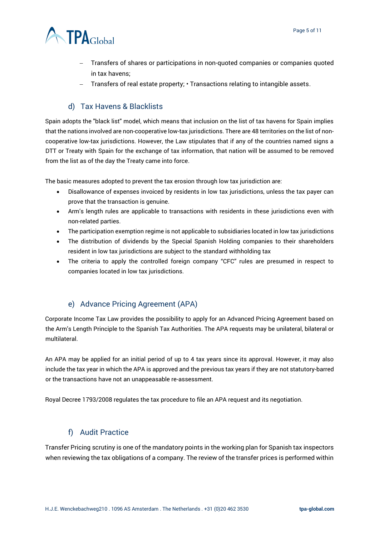

- − Transfers of shares or participations in non-quoted companies or companies quoted in tax havens;
- − Transfers of real estate property; Transactions relating to intangible assets.

### d) Tax Havens & Blacklists

<span id="page-4-0"></span>Spain adopts the "black list" model, which means that inclusion on the list of tax havens for Spain implies that the nations involved are non-cooperative low-tax jurisdictions. There are 48 territories on the list of noncooperative low-tax jurisdictions. However, the Law stipulates that if any of the countries named signs a DTT or Treaty with Spain for the exchange of tax information, that nation will be assumed to be removed from the list as of the day the Treaty came into force.

The basic measures adopted to prevent the tax erosion through low tax jurisdiction are:

- Disallowance of expenses invoiced by residents in low tax jurisdictions, unless the tax payer can prove that the transaction is genuine.
- Arm's length rules are applicable to transactions with residents in these jurisdictions even with non-related parties.
- The [participation exemption regime is](https://www.accountinginspain.com/participation-exemption-spain/) not applicable to subsidiaries located in low tax jurisdictions
- The distribution of dividends by the [Special Spanish Holding](https://www.accountinginspain.com/the-special-tax-regime-for-spanish-holding-companies/) companies to their shareholders resident in low tax jurisdictions are subject to the standard withholding tax
- The criteria to apply the controlled foreign company "CFC" rules are presumed in respect to companies located in low tax jurisdictions.

# e) Advance Pricing Agreement (APA)

<span id="page-4-1"></span>Corporate Income Tax Law provides the possibility to apply for an Advanced Pricing Agreement based on the Arm's Length Principle to the Spanish Tax Authorities. The APA requests may be unilateral, bilateral or multilateral.

An APA may be applied for an initial period of up to 4 tax years since its approval. However, it may also include the tax year in which the APA is approved and the previous tax years if they are not statutory-barred or the transactions have not an unappeasable re-assessment.

Royal Decree 1793/2008 regulates the tax procedure to file an APA request and its negotiation.

#### f) Audit Practice

<span id="page-4-2"></span>Transfer Pricing scrutiny is one of the mandatory points in the working plan for Spanish tax inspectors when reviewing the tax obligations of a company. The review of the transfer prices is performed within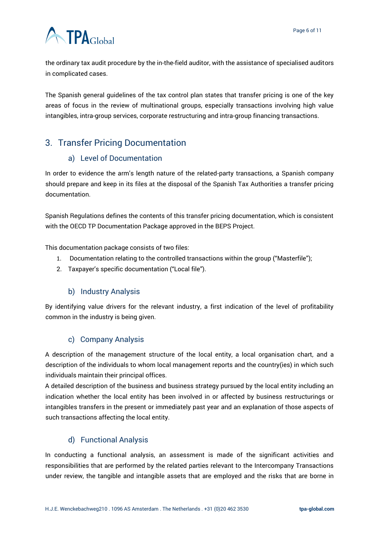# **ATPA**Global

the ordinary tax audit procedure by the in-the-field auditor, with the assistance of specialised auditors in complicated cases.

The Spanish general guidelines of the tax control plan states that transfer pricing is one of the key areas of focus in the review of multinational groups, especially transactions involving high value intangibles, intra-group services, corporate restructuring and intra-group financing transactions.

# <span id="page-5-0"></span>3. Transfer Pricing Documentation

# a) Level of Documentation

<span id="page-5-1"></span>In order to evidence the arm's length nature of the related-party transactions, a Spanish company should prepare and keep in its files at the disposal of the Spanish Tax Authorities a transfer pricing documentation.

Spanish Regulations defines the contents of this transfer pricing documentation, which is consistent with the OECD TP Documentation Package approved in the BEPS Project.

This documentation package consists of two files:

- 1. Documentation relating to the controlled transactions within the group ("Masterfile");
- 2. Taxpayer's specific documentation ("Local file").

#### b) Industry Analysis

<span id="page-5-2"></span>By identifying value drivers for the relevant industry, a first indication of the level of profitability common in the industry is being given.

# c) Company Analysis

<span id="page-5-3"></span>A description of the management structure of the local entity, a local organisation chart, and a description of the individuals to whom local management reports and the country(ies) in which such individuals maintain their principal offices.

A detailed description of the business and business strategy pursued by the local entity including an indication whether the local entity has been involved in or affected by business restructurings or intangibles transfers in the present or immediately past year and an explanation of those aspects of such transactions affecting the local entity.

# d) Functional Analysis

<span id="page-5-4"></span>In conducting a functional analysis, an assessment is made of the significant activities and responsibilities that are performed by the related parties relevant to the Intercompany Transactions under review, the tangible and intangible assets that are employed and the risks that are borne in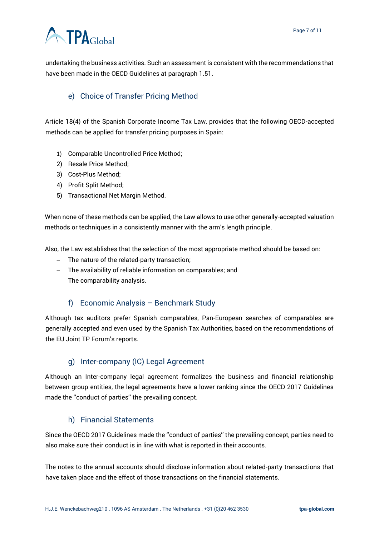# **ATPA**Global

undertaking the business activities. Such an assessment is consistent with the recommendations that have been made in the OECD Guidelines at paragraph 1.51.

# <span id="page-6-0"></span>e) Choice of Transfer Pricing Method

Article 18(4) of the Spanish Corporate Income Tax Law, provides that the following OECD-accepted methods can be applied for transfer pricing purposes in Spain:

- 1) Comparable Uncontrolled Price Method;
- 2) Resale Price Method;
- 3) Cost-Plus Method;
- 4) Profit Split Method;
- 5) Transactional Net Margin Method.

When none of these methods can be applied, the Law allows to use other generally-accepted valuation methods or techniques in a consistently manner with the arm's length principle.

Also, the Law establishes that the selection of the most appropriate method should be based on:

- − The nature of the related-party transaction;
- − The availability of reliable information on comparables; and
- − The comparability analysis.

#### f) Economic Analysis – Benchmark Study

<span id="page-6-1"></span>Although tax auditors prefer Spanish comparables, Pan-European searches of comparables are generally accepted and even used by the Spanish Tax Authorities, based on the recommendations of the EU Joint TP Forum's reports.

#### g) Inter-company (IC) Legal Agreement

<span id="page-6-2"></span>Although an Inter-company legal agreement formalizes the business and financial relationship between group entities, the legal agreements have a lower ranking since the OECD 2017 Guidelines made the ''conduct of parties'' the prevailing concept.

#### h) Financial Statements

<span id="page-6-3"></span>Since the OECD 2017 Guidelines made the ''conduct of parties'' the prevailing concept, parties need to also make sure their conduct is in line with what is reported in their accounts.

The notes to the annual accounts should disclose information about related-party transactions that have taken place and the effect of those transactions on the financial statements.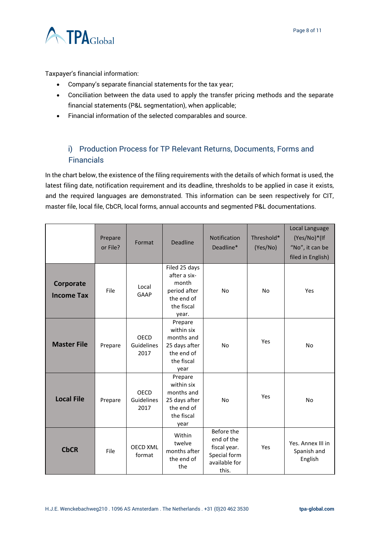

Taxpayer's financial information:

- Company's separate financial statements for the tax year;
- Conciliation between the data used to apply the transfer pricing methods and the separate financial statements (P&L segmentation), when applicable;
- Financial information of the selected comparables and source.

# <span id="page-7-0"></span>i) Production Process for TP Relevant Returns, Documents, Forms and Financials

In the chart below, the existence of the filing requirements with the details of which format is used, the latest filing date, notification requirement and its deadline, thresholds to be applied in case it exists, and the required languages are demonstrated. This information can be seen respectively for CIT, master file, local file, CbCR, local forms, annual accounts and segmented P&L documentations.

|                                | Prepare<br>or File? | Format                     | <b>Deadline</b>                                                                             | <b>Notification</b><br>Deadline*                                                   | Threshold*<br>(Yes/No) | Local Language<br>(Yes/No)*(If<br>"No", it can be<br>filed in English) |
|--------------------------------|---------------------|----------------------------|---------------------------------------------------------------------------------------------|------------------------------------------------------------------------------------|------------------------|------------------------------------------------------------------------|
| Corporate<br><b>Income Tax</b> | File                | Local<br>GAAP              | Filed 25 days<br>after a six-<br>month<br>period after<br>the end of<br>the fiscal<br>year. | <b>No</b>                                                                          | <b>No</b>              | Yes                                                                    |
| <b>Master File</b>             | Prepare             | OECD<br>Guidelines<br>2017 | Prepare<br>within six<br>months and<br>25 days after<br>the end of<br>the fiscal<br>year    | <b>No</b>                                                                          | Yes                    | No                                                                     |
| <b>Local File</b>              | Prepare             | OECD<br>Guidelines<br>2017 | Prepare<br>within six<br>months and<br>25 days after<br>the end of<br>the fiscal<br>year    | <b>No</b>                                                                          | Yes                    | <b>No</b>                                                              |
| <b>CbCR</b>                    | File                | <b>OECD XML</b><br>format  | Within<br>twelve<br>months after<br>the end of<br>the                                       | Before the<br>end of the<br>fiscal year.<br>Special form<br>available for<br>this. | Yes                    | Yes. Annex III in<br>Spanish and<br>English                            |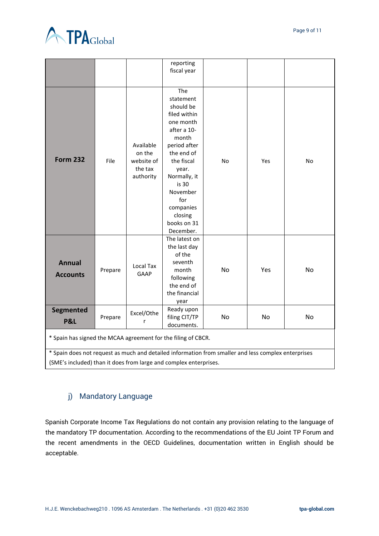

|                                                                                                     |         |                                                           | reporting<br>fiscal year                                                                                                                                                                                                   |           |     |    |  |  |
|-----------------------------------------------------------------------------------------------------|---------|-----------------------------------------------------------|----------------------------------------------------------------------------------------------------------------------------------------------------------------------------------------------------------------------------|-----------|-----|----|--|--|
|                                                                                                     |         |                                                           |                                                                                                                                                                                                                            |           |     |    |  |  |
| <b>Form 232</b>                                                                                     | File    | Available<br>on the<br>website of<br>the tax<br>authority | The<br>statement<br>should be<br>filed within<br>one month<br>after a 10-<br>month<br>period after<br>the end of<br>the fiscal<br>year.<br>Normally, it<br>is 30<br>November<br>for<br>companies<br>closing<br>books on 31 | No        | Yes | No |  |  |
| <b>Annual</b><br><b>Accounts</b>                                                                    | Prepare | <b>Local Tax</b><br>GAAP                                  | December.<br>The latest on<br>the last day<br>of the<br>seventh<br>month<br>following<br>the end of<br>the financial<br>year                                                                                               | <b>No</b> | Yes | No |  |  |
| Segmented<br>P&L                                                                                    | Prepare | Excel/Othe<br>r                                           | Ready upon<br>filing CIT/TP<br>documents.                                                                                                                                                                                  | <b>No</b> | No  | No |  |  |
| * Spain has signed the MCAA agreement for the filing of CBCR.                                       |         |                                                           |                                                                                                                                                                                                                            |           |     |    |  |  |
| * Spain does not request as much and detailed information from smaller and less complex enterprises |         |                                                           |                                                                                                                                                                                                                            |           |     |    |  |  |
| (SME's included) than it does from large and complex enterprises.                                   |         |                                                           |                                                                                                                                                                                                                            |           |     |    |  |  |

# <span id="page-8-0"></span>j) Mandatory Language

Spanish Corporate Income Tax Regulations do not contain any provision relating to the language of the mandatory TP documentation. According to the recommendations of the EU Joint TP Forum and the recent amendments in the OECD Guidelines, documentation written in English should be acceptable.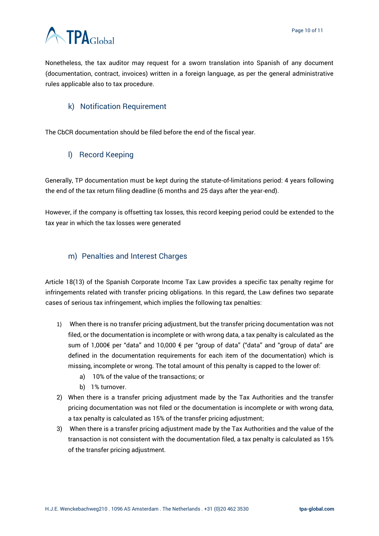

Nonetheless, the tax auditor may request for a sworn translation into Spanish of any document (documentation, contract, invoices) written in a foreign language, as per the general administrative rules applicable also to tax procedure.

### <span id="page-9-0"></span>k) Notification Requirement

<span id="page-9-1"></span>The CbCR documentation should be filed before the end of the fiscal year.

### l) Record Keeping

Generally, TP documentation must be kept during the statute-of-limitations period: 4 years following the end of the tax return filing deadline (6 months and 25 days after the year-end).

However, if the company is offsetting tax losses, this record keeping period could be extended to the tax year in which the tax losses were generated

### <span id="page-9-2"></span>m) Penalties and Interest Charges

Article 18(13) of the Spanish Corporate Income Tax Law provides a specific tax penalty regime for infringements related with transfer pricing obligations. In this regard, the Law defines two separate cases of serious tax infringement, which implies the following tax penalties:

- 1) When there is no transfer pricing adjustment, but the transfer pricing documentation was not filed, or the documentation is incomplete or with wrong data, a tax penalty is calculated as the sum of 1,000€ per "data" and 10,000 € per "group of data" ("data" and "group of data" are defined in the documentation requirements for each item of the documentation) which is missing, incomplete or wrong. The total amount of this penalty is capped to the lower of:
	- a) 10% of the value of the transactions; or
	- b) 1% turnover.
- 2) When there is a transfer pricing adjustment made by the Tax Authorities and the transfer pricing documentation was not filed or the documentation is incomplete or with wrong data, a tax penalty is calculated as 15% of the transfer pricing adjustment;
- 3) When there is a transfer pricing adjustment made by the Tax Authorities and the value of the transaction is not consistent with the documentation filed, a tax penalty is calculated as 15% of the transfer pricing adjustment.